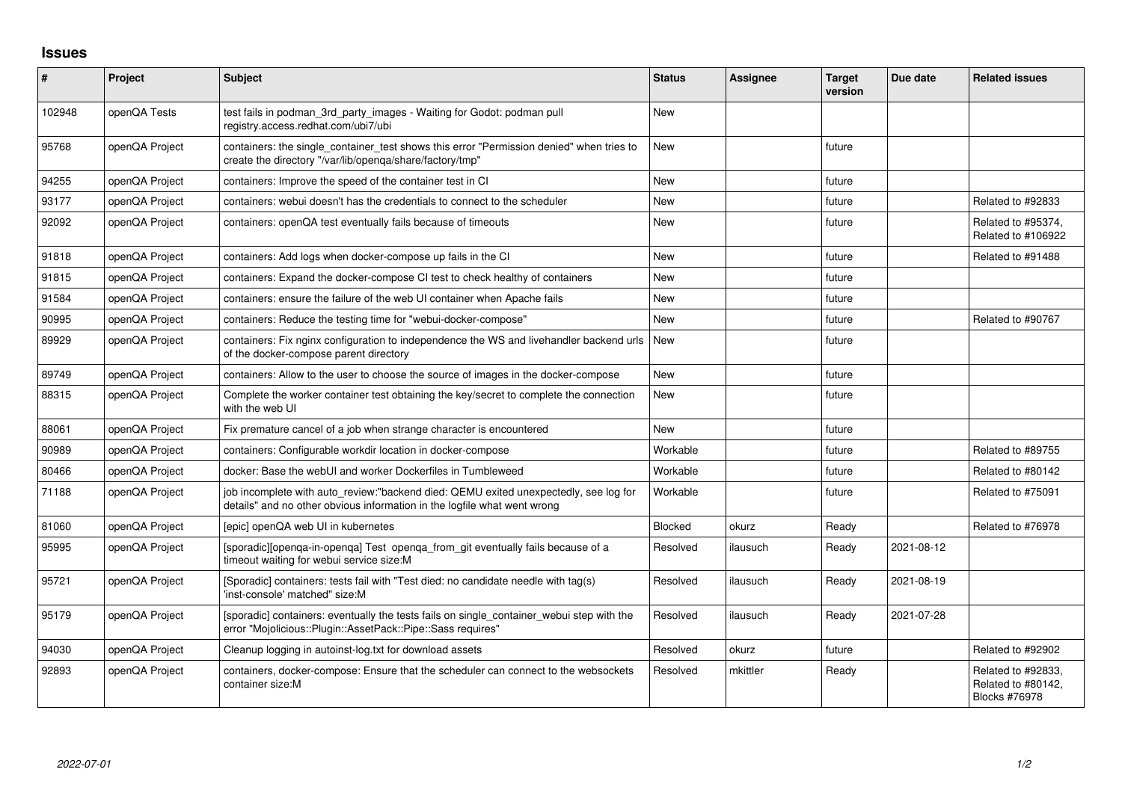## **Issues**

| $\vert$ # | Project        | <b>Subject</b>                                                                                                                                                   | <b>Status</b> | <b>Assignee</b> | <b>Target</b><br>version | Due date   | <b>Related issues</b>                                            |
|-----------|----------------|------------------------------------------------------------------------------------------------------------------------------------------------------------------|---------------|-----------------|--------------------------|------------|------------------------------------------------------------------|
| 102948    | openQA Tests   | test fails in podman_3rd_party_images - Waiting for Godot: podman pull<br>registry.access.redhat.com/ubi7/ubi                                                    | <b>New</b>    |                 |                          |            |                                                                  |
| 95768     | openQA Project | containers: the single_container_test shows this error "Permission denied" when tries to<br>create the directory "/var/lib/openqa/share/factory/tmp"             | <b>New</b>    |                 | future                   |            |                                                                  |
| 94255     | openQA Project | containers: Improve the speed of the container test in CI                                                                                                        | <b>New</b>    |                 | future                   |            |                                                                  |
| 93177     | openQA Project | containers: webui doesn't has the credentials to connect to the scheduler                                                                                        | <b>New</b>    |                 | future                   |            | Related to #92833                                                |
| 92092     | openQA Project | containers: openQA test eventually fails because of timeouts                                                                                                     | <b>New</b>    |                 | future                   |            | Related to #95374.<br>Related to #106922                         |
| 91818     | openQA Project | containers: Add logs when docker-compose up fails in the CI                                                                                                      | <b>New</b>    |                 | future                   |            | Related to #91488                                                |
| 91815     | openQA Project | containers: Expand the docker-compose CI test to check healthy of containers                                                                                     | <b>New</b>    |                 | future                   |            |                                                                  |
| 91584     | openQA Project | containers: ensure the failure of the web UI container when Apache fails                                                                                         | New           |                 | future                   |            |                                                                  |
| 90995     | openQA Project | containers: Reduce the testing time for "webui-docker-compose"                                                                                                   | <b>New</b>    |                 | future                   |            | Related to #90767                                                |
| 89929     | openQA Project | containers: Fix nginx configuration to independence the WS and livehandler backend urls<br>of the docker-compose parent directory                                | New           |                 | future                   |            |                                                                  |
| 89749     | openQA Project | containers: Allow to the user to choose the source of images in the docker-compose                                                                               | <b>New</b>    |                 | future                   |            |                                                                  |
| 88315     | openQA Project | Complete the worker container test obtaining the key/secret to complete the connection<br>with the web UI                                                        | <b>New</b>    |                 | future                   |            |                                                                  |
| 88061     | openQA Project | Fix premature cancel of a job when strange character is encountered                                                                                              | <b>New</b>    |                 | future                   |            |                                                                  |
| 90989     | openQA Project | containers: Configurable workdir location in docker-compose                                                                                                      | Workable      |                 | future                   |            | Related to #89755                                                |
| 80466     | openQA Project | docker: Base the webUI and worker Dockerfiles in Tumbleweed                                                                                                      | Workable      |                 | future                   |            | Related to #80142                                                |
| 71188     | openQA Project | job incomplete with auto_review:"backend died: QEMU exited unexpectedly, see log for<br>details" and no other obvious information in the logfile what went wrong | Workable      |                 | future                   |            | Related to #75091                                                |
| 81060     | openQA Project | [epic] openQA web UI in kubernetes                                                                                                                               | Blocked       | okurz           | Ready                    |            | Related to #76978                                                |
| 95995     | openQA Project | [sporadic][openqa-in-openqa] Test openqa_from_git eventually fails because of a<br>timeout waiting for webui service size:M                                      | Resolved      | ilausuch        | Ready                    | 2021-08-12 |                                                                  |
| 95721     | openQA Project | [Sporadic] containers: tests fail with "Test died: no candidate needle with tag(s)<br>'inst-console' matched" size:M                                             | Resolved      | ilausuch        | Ready                    | 2021-08-19 |                                                                  |
| 95179     | openQA Project | [sporadic] containers: eventually the tests fails on single_container_webui step with the<br>error "Mojolicious::Plugin::AssetPack::Pipe::Sass requires"         | Resolved      | ilausuch        | Ready                    | 2021-07-28 |                                                                  |
| 94030     | openQA Project | Cleanup logging in autoinst-log.txt for download assets                                                                                                          | Resolved      | okurz           | future                   |            | Related to #92902                                                |
| 92893     | openQA Project | containers, docker-compose: Ensure that the scheduler can connect to the websockets<br>container size:M                                                          | Resolved      | mkittler        | Ready                    |            | Related to #92833,<br>Related to #80142,<br><b>Blocks #76978</b> |